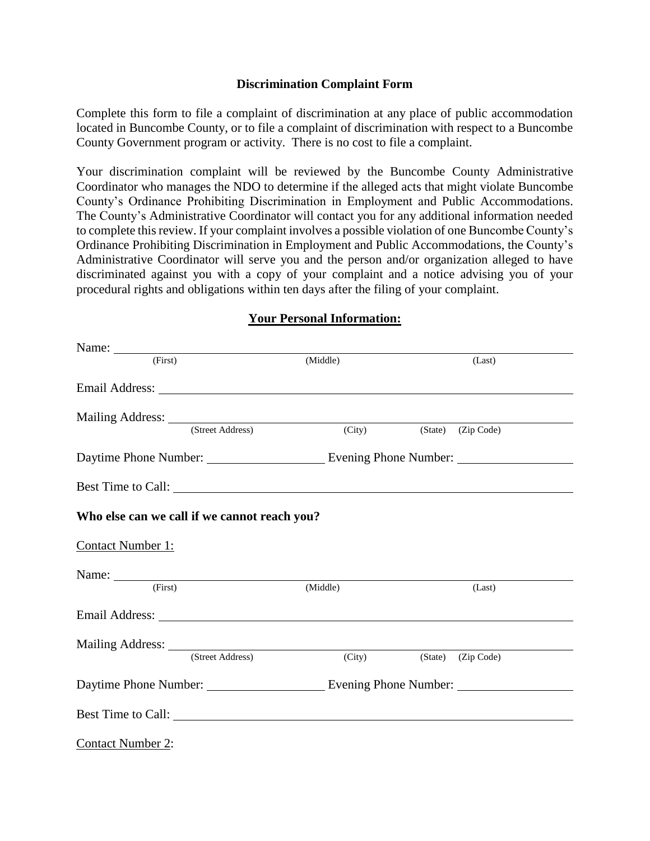### **Discrimination Complaint Form**

Complete this form to file a complaint of discrimination at any place of public accommodation located in Buncombe County, or to file a complaint of discrimination with respect to a Buncombe County Government program or activity. There is no cost to file a complaint.

Your discrimination complaint will be reviewed by the Buncombe County Administrative Coordinator who manages the NDO to determine if the alleged acts that might violate Buncombe County's Ordinance Prohibiting Discrimination in Employment and Public Accommodations. The County's Administrative Coordinator will contact you for any additional information needed to complete this review. If your complaint involves a possible violation of one Buncombe County's Ordinance Prohibiting Discrimination in Employment and Public Accommodations, the County's Administrative Coordinator will serve you and the person and/or organization alleged to have discriminated against you with a copy of your complaint and a notice advising you of your procedural rights and obligations within ten days after the filing of your complaint.

| Name:                                                                                                                                                                                                                                                                                                                                                                                                         |                  |                    |                    |
|---------------------------------------------------------------------------------------------------------------------------------------------------------------------------------------------------------------------------------------------------------------------------------------------------------------------------------------------------------------------------------------------------------------|------------------|--------------------|--------------------|
| (First)                                                                                                                                                                                                                                                                                                                                                                                                       |                  | (Middle)           | (Last)             |
|                                                                                                                                                                                                                                                                                                                                                                                                               |                  |                    |                    |
| Mailing Address: <u>(Street Address</u> ) (6)                                                                                                                                                                                                                                                                                                                                                                 |                  |                    |                    |
|                                                                                                                                                                                                                                                                                                                                                                                                               |                  | (City)             | (State) (Zip Code) |
|                                                                                                                                                                                                                                                                                                                                                                                                               |                  |                    |                    |
|                                                                                                                                                                                                                                                                                                                                                                                                               |                  | Best Time to Call: |                    |
| Who else can we call if we cannot reach you?                                                                                                                                                                                                                                                                                                                                                                  |                  |                    |                    |
| <b>Contact Number 1:</b>                                                                                                                                                                                                                                                                                                                                                                                      |                  |                    |                    |
| Name: $\frac{1}{\sqrt{1-\frac{1}{2}}\sqrt{1-\frac{1}{2}}\sqrt{1-\frac{1}{2}}\sqrt{1-\frac{1}{2}}\sqrt{1-\frac{1}{2}}\sqrt{1-\frac{1}{2}}\sqrt{1-\frac{1}{2}}\sqrt{1-\frac{1}{2}}\sqrt{1-\frac{1}{2}}\sqrt{1-\frac{1}{2}}\sqrt{1-\frac{1}{2}}\sqrt{1-\frac{1}{2}}\sqrt{1-\frac{1}{2}}\sqrt{1-\frac{1}{2}}\sqrt{1-\frac{1}{2}}\sqrt{1-\frac{1}{2}}\sqrt{1-\frac{1}{2}}\sqrt{1-\frac{1}{2}}\sqrt{1-\frac{1}{2}}$ |                  |                    |                    |
| (First)                                                                                                                                                                                                                                                                                                                                                                                                       |                  | (Middle)           | (Last)             |
|                                                                                                                                                                                                                                                                                                                                                                                                               |                  |                    |                    |
|                                                                                                                                                                                                                                                                                                                                                                                                               |                  |                    |                    |
|                                                                                                                                                                                                                                                                                                                                                                                                               | (Street Address) | (City)             | (State) (Zip Code) |
| Daytime Phone Number: Evening Phone Number:                                                                                                                                                                                                                                                                                                                                                                   |                  |                    |                    |
|                                                                                                                                                                                                                                                                                                                                                                                                               |                  |                    |                    |
| <b>Contact Number 2:</b>                                                                                                                                                                                                                                                                                                                                                                                      |                  |                    |                    |

### **Your Personal Information:**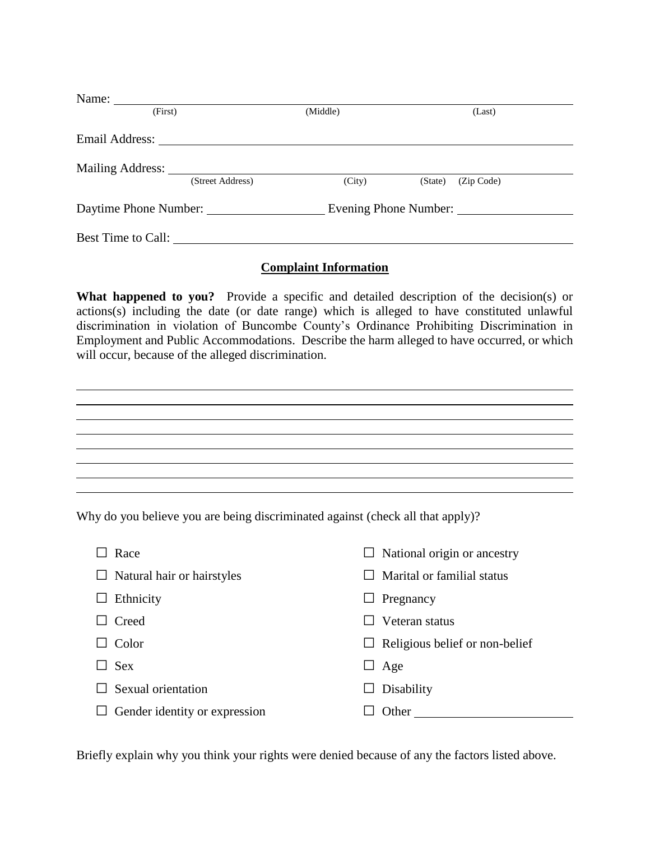| Name:                 |                  |          |                       |  |
|-----------------------|------------------|----------|-----------------------|--|
| (First)               |                  | (Middle) | (Last)                |  |
| Email Address:        |                  |          |                       |  |
|                       | (Street Address) |          |                       |  |
|                       |                  | (City)   | (Zip Code)<br>(State) |  |
| Daytime Phone Number: |                  |          | Evening Phone Number: |  |
| Best Time to Call:    |                  |          |                       |  |

### **Complaint Information**

What happened to you? Provide a specific and detailed description of the decision(s) or actions(s) including the date (or date range) which is alleged to have constituted unlawful discrimination in violation of Buncombe County's Ordinance Prohibiting Discrimination in Employment and Public Accommodations. Describe the harm alleged to have occurred, or which will occur, because of the alleged discrimination.

| the contract of the contract of the contract of the contract of the contract of the contract of |  |  |
|-------------------------------------------------------------------------------------------------|--|--|
|                                                                                                 |  |  |
|                                                                                                 |  |  |
| the contract of the contract of the contract of the contract of the contract of                 |  |  |

Why do you believe you are being discriminated against (check all that apply)?

| Race                               | $\Box$ National origin or ancestry    |
|------------------------------------|---------------------------------------|
| $\Box$ Natural hair or hairstyles  | Marital or familial status            |
| Ethnicity<br>ப                     | Pregnancy<br>$\Box$                   |
| Creed                              | Veteran status                        |
| Color                              | $\Box$ Religious belief or non-belief |
| <b>Sex</b><br>$\perp$              | Age<br>$\Box$                         |
| Sexual orientation                 | Disability                            |
| Gender identity or expression<br>ப | Other                                 |

Briefly explain why you think your rights were denied because of any the factors listed above.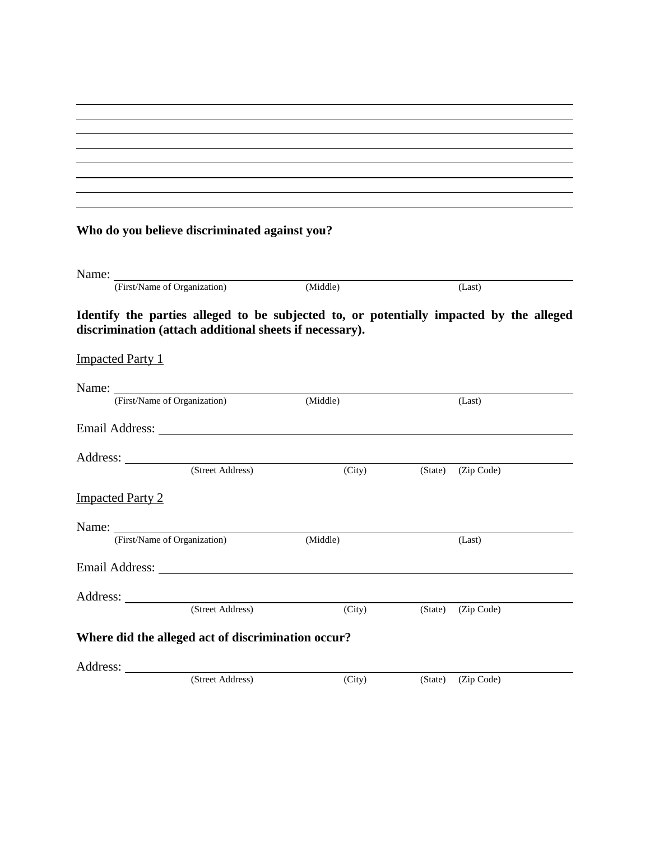| <u> 1989 - Andrea Stadt Britain, amerikansk politik (* 1989)</u>                                                     |  |  |
|----------------------------------------------------------------------------------------------------------------------|--|--|
|                                                                                                                      |  |  |
|                                                                                                                      |  |  |
|                                                                                                                      |  |  |
| <u> 1989 - Johann Stein, marwolaethau a bhann an t-Amhain an t-Amhain an t-Amhain an t-Amhain an t-Amhain an t-A</u> |  |  |
| <u> 1989 - Johann Barn, amerikansk politiker (d. 1989)</u>                                                           |  |  |
|                                                                                                                      |  |  |

# **Who do you believe discriminated against you?**

| Name:                                                   |                  |                                                                                                                                                                                                                                |         |            |  |
|---------------------------------------------------------|------------------|--------------------------------------------------------------------------------------------------------------------------------------------------------------------------------------------------------------------------------|---------|------------|--|
| (First/Name of Organization)                            |                  | (Middle)                                                                                                                                                                                                                       |         | (Last)     |  |
| discrimination (attach additional sheets if necessary). |                  | Identify the parties alleged to be subjected to, or potentially impacted by the alleged                                                                                                                                        |         |            |  |
| <b>Impacted Party 1</b>                                 |                  |                                                                                                                                                                                                                                |         |            |  |
| Name: First/Name of Organization)                       |                  |                                                                                                                                                                                                                                |         |            |  |
|                                                         |                  | (Middle)                                                                                                                                                                                                                       |         | (Last)     |  |
|                                                         |                  | Email Address: No. 1996. The Second Second Second Second Second Second Second Second Second Second Second Second Second Second Second Second Second Second Second Second Second Second Second Second Second Second Second Seco |         |            |  |
| Address: <u>City (Street Address)</u>                   |                  |                                                                                                                                                                                                                                |         |            |  |
|                                                         |                  | (City)                                                                                                                                                                                                                         | (State) | (Zip Code) |  |
| <b>Impacted Party 2</b>                                 |                  |                                                                                                                                                                                                                                |         |            |  |
|                                                         |                  |                                                                                                                                                                                                                                |         |            |  |
| (First/Name of Organization)                            |                  | (Middle)                                                                                                                                                                                                                       |         | (Last)     |  |
|                                                         |                  | Email Address: The Contract of the Contract of the Contract of the Contract of the Contract of the Contract of the Contract of the Contract of the Contract of the Contract of the Contract of the Contract of the Contract of |         |            |  |
|                                                         |                  |                                                                                                                                                                                                                                |         |            |  |
|                                                         | (Street Address) | (City)                                                                                                                                                                                                                         | (State) | (Zip Code) |  |
| Where did the alleged act of discrimination occur?      |                  |                                                                                                                                                                                                                                |         |            |  |
|                                                         |                  |                                                                                                                                                                                                                                |         |            |  |
|                                                         | (Street Address) | (City)                                                                                                                                                                                                                         | (State) | (Zip Code) |  |